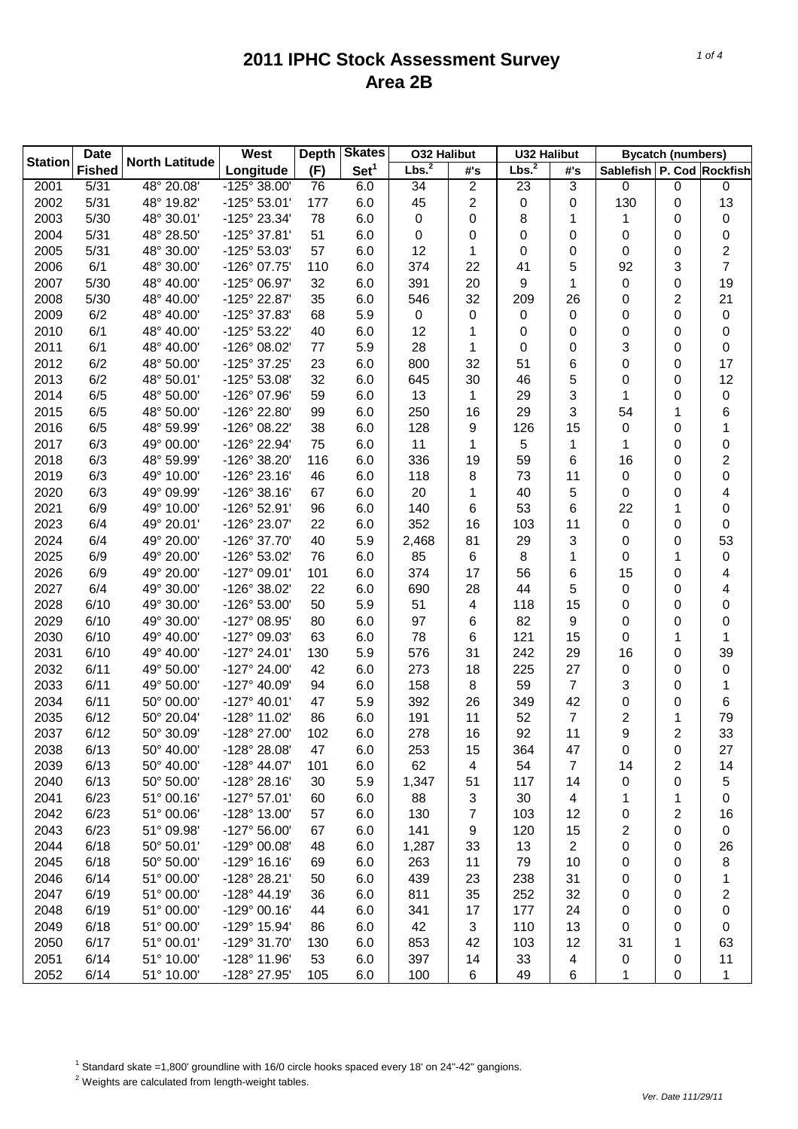| Lbs. <sup>2</sup><br>Lbs. <sup>2</sup><br>(F)<br>Set <sup>1</sup><br><b>Fished</b><br>Longitude<br>Sablefish P. Cod Rockfish<br>#'s<br>#'s<br>2<br>2001<br>5/31<br>$\frac{1}{48}$ ° 20.08'<br>-125° 38.00'<br>3<br>0<br>$\pmb{0}$<br>76<br>6.0<br>34<br>23<br>$\pmb{0}$<br>13<br>2002<br>5/31<br>2<br>0<br>130<br>48° 19.82'<br>-125° 53.01'<br>177<br>6.0<br>45<br>0<br>0<br>2003<br>5/30<br>78<br>$\pmb{0}$<br>48° 30.01'<br>-125° 23.34'<br>6.0<br>0<br>8<br>0<br>1<br>1<br>0<br>51<br>2004<br>5/31<br>48° 28.50'<br>-125° 37.81'<br>6.0<br>0<br>0<br>0<br>0<br>0<br>0<br>0<br>57<br>2<br>2005<br>5/31<br>48° 30.00'<br>-125° 53.03'<br>6.0<br>12<br>0<br>0<br>1<br>0<br>0<br>$\overline{7}$<br>6/1<br>374<br>5<br>3<br>2006<br>48° 30.00'<br>-126° 07.75'<br>110<br>6.0<br>22<br>41<br>92<br>2007<br>5/30<br>32<br>391<br>20<br>9<br>19<br>48° 40.00'<br>-125° 06.97'<br>6.0<br>1<br>0<br>0<br>$\overline{c}$<br>21<br>2008<br>5/30<br>48° 40.00'<br>-125° 22.87'<br>35<br>6.0<br>546<br>32<br>209<br>26<br>0<br>$\pmb{0}$<br>2009<br>6/2<br>48° 40.00'<br>-125° 37.83'<br>68<br>5.9<br>0<br>0<br>0<br>0<br>0<br>0<br>6/1<br>2010<br>48° 40.00'<br>-125° 53.22'<br>40<br>6.0<br>12<br>0<br>0<br>0<br>1<br>0<br>0<br>2011<br>6/1<br>3<br>48° 40.00'<br>-126° 08.02'<br>77<br>5.9<br>28<br>0<br>0<br>1<br>0<br>0<br>2012<br>6/2<br>23<br>800<br>17<br>48° 50.00'<br>-125° 37.25'<br>6.0<br>32<br>51<br>6<br>0<br>0<br>2013<br>6/2<br>32<br>5<br>12<br>48° 50.01'<br>-125° 53.08'<br>6.0<br>645<br>30<br>46<br>0<br>0<br>6/5<br>59<br>3<br>$\pmb{0}$<br>2014<br>48° 50.00'<br>-126° 07.96'<br>6.0<br>13<br>29<br>1<br>0<br>1<br>3<br>6<br>2015<br>6/5<br>48° 50.00'<br>-126° 22.80'<br>99<br>6.0<br>250<br>16<br>29<br>54<br>1<br>128<br>2016<br>6/5<br>48° 59.99'<br>-126° 08.22'<br>38<br>6.0<br>9<br>126<br>15<br>0<br>0<br>1<br>2017<br>5<br>0<br>6/3<br>49° 00.00'<br>-126° 22.94'<br>75<br>6.0<br>11<br>1<br>1<br>1<br>0<br>336<br>59<br>2<br>2018<br>6/3<br>48° 59.99'<br>-126° 38.20'<br>116<br>6.0<br>19<br>6<br>16<br>0<br>6/3<br>0<br>2019<br>49° 10.00'<br>$-126^{\circ} 23.16'$<br>46<br>6.0<br>118<br>8<br>73<br>0<br>11<br>0<br>6/3<br>5<br>2020<br>49° 09.99'<br>$-126°38.16'$<br>67<br>6.0<br>20<br>40<br>0<br>4<br>1<br>0<br>2021<br>6/9<br>22<br>49° 10.00'<br>-126° 52.91'<br>96<br>6.0<br>140<br>53<br>6<br>0<br>6<br>1<br>2023<br>352<br>6/4<br>49° 20.01'<br>-126° 23.07'<br>22<br>6.0<br>16<br>103<br>$\pmb{0}$<br>0<br>11<br>0<br>40<br>3<br>53<br>2024<br>6/4<br>49° 20.00'<br>-126° 37.70'<br>5.9<br>2,468<br>81<br>29<br>0<br>0<br>8<br>$\pmb{0}$<br>2025<br>6/9<br>49° 20.00'<br>-126° 53.02'<br>76<br>6.0<br>85<br>6<br>1<br>0<br>1<br>2026<br>374<br>6/9<br>49° 20.00'<br>-127° 09.01'<br>101<br>6.0<br>17<br>56<br>6<br>15<br>4<br>0<br>2027<br>49° 30.00'<br>-126° 38.02'<br>44<br>5<br>6/4<br>22<br>6.0<br>690<br>28<br>0<br>4<br>0<br>50<br>5.9<br>2028<br>6/10<br>49° 30.00'<br>-126° 53.00'<br>51<br>4<br>118<br>15<br>0<br>0<br>0<br>2029<br>6/10<br>82<br>49° 30.00'<br>-127° 08.95'<br>80<br>6.0<br>97<br>9<br>0<br>0<br>6<br>0<br>2030<br>6/10<br>49° 40.00'<br>-127° 09.03'<br>63<br>6.0<br>78<br>121<br>15<br>0<br>6<br>1<br>1<br>6/10<br>5.9<br>576<br>242<br>39<br>2031<br>49° 40.00'<br>$-127^{\circ} 24.01'$<br>130<br>31<br>29<br>16<br>0<br>273<br>225<br>0<br>2032<br>6/11<br>49° 50.00'<br>-127° 24.00'<br>42<br>6.0<br>18<br>27<br>0<br>0<br>59<br>7<br>3<br>2033<br>6/11<br>49° 50.00'<br>-127° 40.09'<br>94<br>6.0<br>158<br>8<br>0<br>1<br>2034<br>6/11<br>50° 00.00'<br>$-127^{\circ}$ 40.01'<br>47<br>5.9<br>392<br>26<br>349<br>42<br>0<br>6<br>0<br>7<br>2<br>79<br>2035<br>6/12<br>50° 20.04'<br>-128° 11.02'<br>86<br>6.0<br>191<br>11<br>52<br>1<br>9<br>33<br>2037<br>6/12<br>102<br>6.0<br>278<br>92<br>$\overline{2}$<br>50° 30.09'<br>-128° 27.00'<br>16<br>11<br>6/13<br>2038<br>50° 40.00'<br>-128° 28.08'<br>47<br>6.0<br>253<br>364<br>47<br>0<br>27<br>15<br>0<br>62<br>7<br>2039<br>6/13<br>50° 40.00'<br>-128° 44.07'<br>6.0<br>54<br>2<br>14<br>101<br>4<br>14<br>2040<br>6/13<br>50° 50.00'<br>$-128°28.16'$<br>5.9<br>5<br>30<br>1,347<br>51<br>117<br>14<br>0<br>0<br>2041<br>6/23<br>51° 00.16'<br>$-127^{\circ}57.01'$<br>60<br>88<br>3<br>30<br>6.0<br>4<br>0<br>1<br>1<br>7<br>2042<br>6/23<br>51° 00.06'<br>-128° 13.00'<br>57<br>6.0<br>130<br>103<br>12<br>2<br>16<br>0<br>2<br>2043<br>6/23<br>51° 09.98'<br>$-127^{\circ} 56.00'$<br>67<br>6.0<br>141<br>9<br>120<br>15<br>$\pmb{0}$<br>0<br>2044<br>6/18<br>50° 50.01'<br>-129° 00.08'<br>48<br>6.0<br>33<br>13<br>2<br>0<br>26<br>1,287<br>0<br>2045<br>6/18<br>50° 50.00'<br>$-129°$ 16.16'<br>69<br>6.0<br>79<br>0<br>8<br>263<br>11<br>10<br>0<br>2046<br>6/14<br>51° 00.00'<br>-128° 28.21'<br>50<br>6.0<br>439<br>23<br>238<br>31<br>0<br>1<br>0<br>2047<br>6/19<br>51° 00.00'<br>$-128^{\circ}$ 44.19'<br>36<br>6.0<br>811<br>35<br>252<br>32<br>0<br>2<br>0<br>2048<br>6/19<br>51° 00.00'<br>$-129°00.16'$<br>44<br>6.0<br>341<br>177<br>24<br>0<br>0<br>17<br>0<br>2049<br>6/18<br>51° 00.00'<br>-129° 15.94'<br>42<br>3<br>110<br>13<br>86<br>6.0<br>0<br>0<br>0<br>2050<br>6/17<br>51° 00.01'<br>-129° 31.70'<br>853<br>42<br>103<br>12<br>31<br>63<br>130<br>6.0<br>1<br>2051<br>6/14<br>51° 10.00'<br>-128° 11.96'<br>53<br>6.0<br>397<br>33<br>11<br>14<br>4<br>0<br>0 | <b>Date</b>    |      |                       | <b>West</b>  | <b>Depth</b> | <b>Skates</b> | <b>O32 Halibut</b> |   | <b>U32 Halibut</b> |   | <b>Bycatch (numbers)</b> |   |   |
|------------------------------------------------------------------------------------------------------------------------------------------------------------------------------------------------------------------------------------------------------------------------------------------------------------------------------------------------------------------------------------------------------------------------------------------------------------------------------------------------------------------------------------------------------------------------------------------------------------------------------------------------------------------------------------------------------------------------------------------------------------------------------------------------------------------------------------------------------------------------------------------------------------------------------------------------------------------------------------------------------------------------------------------------------------------------------------------------------------------------------------------------------------------------------------------------------------------------------------------------------------------------------------------------------------------------------------------------------------------------------------------------------------------------------------------------------------------------------------------------------------------------------------------------------------------------------------------------------------------------------------------------------------------------------------------------------------------------------------------------------------------------------------------------------------------------------------------------------------------------------------------------------------------------------------------------------------------------------------------------------------------------------------------------------------------------------------------------------------------------------------------------------------------------------------------------------------------------------------------------------------------------------------------------------------------------------------------------------------------------------------------------------------------------------------------------------------------------------------------------------------------------------------------------------------------------------------------------------------------------------------------------------------------------------------------------------------------------------------------------------------------------------------------------------------------------------------------------------------------------------------------------------------------------------------------------------------------------------------------------------------------------------------------------------------------------------------------------------------------------------------------------------------------------------------------------------------------------------------------------------------------------------------------------------------------------------------------------------------------------------------------------------------------------------------------------------------------------------------------------------------------------------------------------------------------------------------------------------------------------------------------------------------------------------------------------------------------------------------------------------------------------------------------------------------------------------------------------------------------------------------------------------------------------------------------------------------------------------------------------------------------------------------------------------------------------------------------------------------------------------------------------------------------------------------------------------------------------------------------------------------------------------------------------------------------------------------------------------------------------------------------------------------------------------------------------------------------------------------------------------------------------------------------------------------------------------------------------------------------------------------------------------------------------------------------------------------------------------------------------------------------------------------------------------------------------------------------------------------------------------------------------------------------------------------------------------------------------------------------------------------------------------------------------------------------------------------------------------------------------------------------------------------------------------------------------------------------------------------------------------------------------------------------------------------------------------|----------------|------|-----------------------|--------------|--------------|---------------|--------------------|---|--------------------|---|--------------------------|---|---|
|                                                                                                                                                                                                                                                                                                                                                                                                                                                                                                                                                                                                                                                                                                                                                                                                                                                                                                                                                                                                                                                                                                                                                                                                                                                                                                                                                                                                                                                                                                                                                                                                                                                                                                                                                                                                                                                                                                                                                                                                                                                                                                                                                                                                                                                                                                                                                                                                                                                                                                                                                                                                                                                                                                                                                                                                                                                                                                                                                                                                                                                                                                                                                                                                                                                                                                                                                                                                                                                                                                                                                                                                                                                                                                                                                                                                                                                                                                                                                                                                                                                                                                                                                                                                                                                                                                                                                                                                                                                                                                                                                                                                                                                                                                                                                                                                                                                                                                                                                                                                                                                                                                                                                                                                                                                                                                                              | <b>Station</b> |      | <b>North Latitude</b> |              |              |               |                    |   |                    |   |                          |   |   |
|                                                                                                                                                                                                                                                                                                                                                                                                                                                                                                                                                                                                                                                                                                                                                                                                                                                                                                                                                                                                                                                                                                                                                                                                                                                                                                                                                                                                                                                                                                                                                                                                                                                                                                                                                                                                                                                                                                                                                                                                                                                                                                                                                                                                                                                                                                                                                                                                                                                                                                                                                                                                                                                                                                                                                                                                                                                                                                                                                                                                                                                                                                                                                                                                                                                                                                                                                                                                                                                                                                                                                                                                                                                                                                                                                                                                                                                                                                                                                                                                                                                                                                                                                                                                                                                                                                                                                                                                                                                                                                                                                                                                                                                                                                                                                                                                                                                                                                                                                                                                                                                                                                                                                                                                                                                                                                                              |                |      |                       |              |              |               |                    |   |                    |   |                          |   |   |
|                                                                                                                                                                                                                                                                                                                                                                                                                                                                                                                                                                                                                                                                                                                                                                                                                                                                                                                                                                                                                                                                                                                                                                                                                                                                                                                                                                                                                                                                                                                                                                                                                                                                                                                                                                                                                                                                                                                                                                                                                                                                                                                                                                                                                                                                                                                                                                                                                                                                                                                                                                                                                                                                                                                                                                                                                                                                                                                                                                                                                                                                                                                                                                                                                                                                                                                                                                                                                                                                                                                                                                                                                                                                                                                                                                                                                                                                                                                                                                                                                                                                                                                                                                                                                                                                                                                                                                                                                                                                                                                                                                                                                                                                                                                                                                                                                                                                                                                                                                                                                                                                                                                                                                                                                                                                                                                              |                |      |                       |              |              |               |                    |   |                    |   |                          |   |   |
|                                                                                                                                                                                                                                                                                                                                                                                                                                                                                                                                                                                                                                                                                                                                                                                                                                                                                                                                                                                                                                                                                                                                                                                                                                                                                                                                                                                                                                                                                                                                                                                                                                                                                                                                                                                                                                                                                                                                                                                                                                                                                                                                                                                                                                                                                                                                                                                                                                                                                                                                                                                                                                                                                                                                                                                                                                                                                                                                                                                                                                                                                                                                                                                                                                                                                                                                                                                                                                                                                                                                                                                                                                                                                                                                                                                                                                                                                                                                                                                                                                                                                                                                                                                                                                                                                                                                                                                                                                                                                                                                                                                                                                                                                                                                                                                                                                                                                                                                                                                                                                                                                                                                                                                                                                                                                                                              |                |      |                       |              |              |               |                    |   |                    |   |                          |   |   |
|                                                                                                                                                                                                                                                                                                                                                                                                                                                                                                                                                                                                                                                                                                                                                                                                                                                                                                                                                                                                                                                                                                                                                                                                                                                                                                                                                                                                                                                                                                                                                                                                                                                                                                                                                                                                                                                                                                                                                                                                                                                                                                                                                                                                                                                                                                                                                                                                                                                                                                                                                                                                                                                                                                                                                                                                                                                                                                                                                                                                                                                                                                                                                                                                                                                                                                                                                                                                                                                                                                                                                                                                                                                                                                                                                                                                                                                                                                                                                                                                                                                                                                                                                                                                                                                                                                                                                                                                                                                                                                                                                                                                                                                                                                                                                                                                                                                                                                                                                                                                                                                                                                                                                                                                                                                                                                                              |                |      |                       |              |              |               |                    |   |                    |   |                          |   |   |
|                                                                                                                                                                                                                                                                                                                                                                                                                                                                                                                                                                                                                                                                                                                                                                                                                                                                                                                                                                                                                                                                                                                                                                                                                                                                                                                                                                                                                                                                                                                                                                                                                                                                                                                                                                                                                                                                                                                                                                                                                                                                                                                                                                                                                                                                                                                                                                                                                                                                                                                                                                                                                                                                                                                                                                                                                                                                                                                                                                                                                                                                                                                                                                                                                                                                                                                                                                                                                                                                                                                                                                                                                                                                                                                                                                                                                                                                                                                                                                                                                                                                                                                                                                                                                                                                                                                                                                                                                                                                                                                                                                                                                                                                                                                                                                                                                                                                                                                                                                                                                                                                                                                                                                                                                                                                                                                              |                |      |                       |              |              |               |                    |   |                    |   |                          |   |   |
|                                                                                                                                                                                                                                                                                                                                                                                                                                                                                                                                                                                                                                                                                                                                                                                                                                                                                                                                                                                                                                                                                                                                                                                                                                                                                                                                                                                                                                                                                                                                                                                                                                                                                                                                                                                                                                                                                                                                                                                                                                                                                                                                                                                                                                                                                                                                                                                                                                                                                                                                                                                                                                                                                                                                                                                                                                                                                                                                                                                                                                                                                                                                                                                                                                                                                                                                                                                                                                                                                                                                                                                                                                                                                                                                                                                                                                                                                                                                                                                                                                                                                                                                                                                                                                                                                                                                                                                                                                                                                                                                                                                                                                                                                                                                                                                                                                                                                                                                                                                                                                                                                                                                                                                                                                                                                                                              |                |      |                       |              |              |               |                    |   |                    |   |                          |   |   |
|                                                                                                                                                                                                                                                                                                                                                                                                                                                                                                                                                                                                                                                                                                                                                                                                                                                                                                                                                                                                                                                                                                                                                                                                                                                                                                                                                                                                                                                                                                                                                                                                                                                                                                                                                                                                                                                                                                                                                                                                                                                                                                                                                                                                                                                                                                                                                                                                                                                                                                                                                                                                                                                                                                                                                                                                                                                                                                                                                                                                                                                                                                                                                                                                                                                                                                                                                                                                                                                                                                                                                                                                                                                                                                                                                                                                                                                                                                                                                                                                                                                                                                                                                                                                                                                                                                                                                                                                                                                                                                                                                                                                                                                                                                                                                                                                                                                                                                                                                                                                                                                                                                                                                                                                                                                                                                                              |                |      |                       |              |              |               |                    |   |                    |   |                          |   |   |
|                                                                                                                                                                                                                                                                                                                                                                                                                                                                                                                                                                                                                                                                                                                                                                                                                                                                                                                                                                                                                                                                                                                                                                                                                                                                                                                                                                                                                                                                                                                                                                                                                                                                                                                                                                                                                                                                                                                                                                                                                                                                                                                                                                                                                                                                                                                                                                                                                                                                                                                                                                                                                                                                                                                                                                                                                                                                                                                                                                                                                                                                                                                                                                                                                                                                                                                                                                                                                                                                                                                                                                                                                                                                                                                                                                                                                                                                                                                                                                                                                                                                                                                                                                                                                                                                                                                                                                                                                                                                                                                                                                                                                                                                                                                                                                                                                                                                                                                                                                                                                                                                                                                                                                                                                                                                                                                              |                |      |                       |              |              |               |                    |   |                    |   |                          |   |   |
|                                                                                                                                                                                                                                                                                                                                                                                                                                                                                                                                                                                                                                                                                                                                                                                                                                                                                                                                                                                                                                                                                                                                                                                                                                                                                                                                                                                                                                                                                                                                                                                                                                                                                                                                                                                                                                                                                                                                                                                                                                                                                                                                                                                                                                                                                                                                                                                                                                                                                                                                                                                                                                                                                                                                                                                                                                                                                                                                                                                                                                                                                                                                                                                                                                                                                                                                                                                                                                                                                                                                                                                                                                                                                                                                                                                                                                                                                                                                                                                                                                                                                                                                                                                                                                                                                                                                                                                                                                                                                                                                                                                                                                                                                                                                                                                                                                                                                                                                                                                                                                                                                                                                                                                                                                                                                                                              |                |      |                       |              |              |               |                    |   |                    |   |                          |   |   |
|                                                                                                                                                                                                                                                                                                                                                                                                                                                                                                                                                                                                                                                                                                                                                                                                                                                                                                                                                                                                                                                                                                                                                                                                                                                                                                                                                                                                                                                                                                                                                                                                                                                                                                                                                                                                                                                                                                                                                                                                                                                                                                                                                                                                                                                                                                                                                                                                                                                                                                                                                                                                                                                                                                                                                                                                                                                                                                                                                                                                                                                                                                                                                                                                                                                                                                                                                                                                                                                                                                                                                                                                                                                                                                                                                                                                                                                                                                                                                                                                                                                                                                                                                                                                                                                                                                                                                                                                                                                                                                                                                                                                                                                                                                                                                                                                                                                                                                                                                                                                                                                                                                                                                                                                                                                                                                                              |                |      |                       |              |              |               |                    |   |                    |   |                          |   |   |
|                                                                                                                                                                                                                                                                                                                                                                                                                                                                                                                                                                                                                                                                                                                                                                                                                                                                                                                                                                                                                                                                                                                                                                                                                                                                                                                                                                                                                                                                                                                                                                                                                                                                                                                                                                                                                                                                                                                                                                                                                                                                                                                                                                                                                                                                                                                                                                                                                                                                                                                                                                                                                                                                                                                                                                                                                                                                                                                                                                                                                                                                                                                                                                                                                                                                                                                                                                                                                                                                                                                                                                                                                                                                                                                                                                                                                                                                                                                                                                                                                                                                                                                                                                                                                                                                                                                                                                                                                                                                                                                                                                                                                                                                                                                                                                                                                                                                                                                                                                                                                                                                                                                                                                                                                                                                                                                              |                |      |                       |              |              |               |                    |   |                    |   |                          |   |   |
|                                                                                                                                                                                                                                                                                                                                                                                                                                                                                                                                                                                                                                                                                                                                                                                                                                                                                                                                                                                                                                                                                                                                                                                                                                                                                                                                                                                                                                                                                                                                                                                                                                                                                                                                                                                                                                                                                                                                                                                                                                                                                                                                                                                                                                                                                                                                                                                                                                                                                                                                                                                                                                                                                                                                                                                                                                                                                                                                                                                                                                                                                                                                                                                                                                                                                                                                                                                                                                                                                                                                                                                                                                                                                                                                                                                                                                                                                                                                                                                                                                                                                                                                                                                                                                                                                                                                                                                                                                                                                                                                                                                                                                                                                                                                                                                                                                                                                                                                                                                                                                                                                                                                                                                                                                                                                                                              |                |      |                       |              |              |               |                    |   |                    |   |                          |   |   |
|                                                                                                                                                                                                                                                                                                                                                                                                                                                                                                                                                                                                                                                                                                                                                                                                                                                                                                                                                                                                                                                                                                                                                                                                                                                                                                                                                                                                                                                                                                                                                                                                                                                                                                                                                                                                                                                                                                                                                                                                                                                                                                                                                                                                                                                                                                                                                                                                                                                                                                                                                                                                                                                                                                                                                                                                                                                                                                                                                                                                                                                                                                                                                                                                                                                                                                                                                                                                                                                                                                                                                                                                                                                                                                                                                                                                                                                                                                                                                                                                                                                                                                                                                                                                                                                                                                                                                                                                                                                                                                                                                                                                                                                                                                                                                                                                                                                                                                                                                                                                                                                                                                                                                                                                                                                                                                                              |                |      |                       |              |              |               |                    |   |                    |   |                          |   |   |
|                                                                                                                                                                                                                                                                                                                                                                                                                                                                                                                                                                                                                                                                                                                                                                                                                                                                                                                                                                                                                                                                                                                                                                                                                                                                                                                                                                                                                                                                                                                                                                                                                                                                                                                                                                                                                                                                                                                                                                                                                                                                                                                                                                                                                                                                                                                                                                                                                                                                                                                                                                                                                                                                                                                                                                                                                                                                                                                                                                                                                                                                                                                                                                                                                                                                                                                                                                                                                                                                                                                                                                                                                                                                                                                                                                                                                                                                                                                                                                                                                                                                                                                                                                                                                                                                                                                                                                                                                                                                                                                                                                                                                                                                                                                                                                                                                                                                                                                                                                                                                                                                                                                                                                                                                                                                                                                              |                |      |                       |              |              |               |                    |   |                    |   |                          |   |   |
|                                                                                                                                                                                                                                                                                                                                                                                                                                                                                                                                                                                                                                                                                                                                                                                                                                                                                                                                                                                                                                                                                                                                                                                                                                                                                                                                                                                                                                                                                                                                                                                                                                                                                                                                                                                                                                                                                                                                                                                                                                                                                                                                                                                                                                                                                                                                                                                                                                                                                                                                                                                                                                                                                                                                                                                                                                                                                                                                                                                                                                                                                                                                                                                                                                                                                                                                                                                                                                                                                                                                                                                                                                                                                                                                                                                                                                                                                                                                                                                                                                                                                                                                                                                                                                                                                                                                                                                                                                                                                                                                                                                                                                                                                                                                                                                                                                                                                                                                                                                                                                                                                                                                                                                                                                                                                                                              |                |      |                       |              |              |               |                    |   |                    |   |                          |   |   |
|                                                                                                                                                                                                                                                                                                                                                                                                                                                                                                                                                                                                                                                                                                                                                                                                                                                                                                                                                                                                                                                                                                                                                                                                                                                                                                                                                                                                                                                                                                                                                                                                                                                                                                                                                                                                                                                                                                                                                                                                                                                                                                                                                                                                                                                                                                                                                                                                                                                                                                                                                                                                                                                                                                                                                                                                                                                                                                                                                                                                                                                                                                                                                                                                                                                                                                                                                                                                                                                                                                                                                                                                                                                                                                                                                                                                                                                                                                                                                                                                                                                                                                                                                                                                                                                                                                                                                                                                                                                                                                                                                                                                                                                                                                                                                                                                                                                                                                                                                                                                                                                                                                                                                                                                                                                                                                                              |                |      |                       |              |              |               |                    |   |                    |   |                          |   |   |
|                                                                                                                                                                                                                                                                                                                                                                                                                                                                                                                                                                                                                                                                                                                                                                                                                                                                                                                                                                                                                                                                                                                                                                                                                                                                                                                                                                                                                                                                                                                                                                                                                                                                                                                                                                                                                                                                                                                                                                                                                                                                                                                                                                                                                                                                                                                                                                                                                                                                                                                                                                                                                                                                                                                                                                                                                                                                                                                                                                                                                                                                                                                                                                                                                                                                                                                                                                                                                                                                                                                                                                                                                                                                                                                                                                                                                                                                                                                                                                                                                                                                                                                                                                                                                                                                                                                                                                                                                                                                                                                                                                                                                                                                                                                                                                                                                                                                                                                                                                                                                                                                                                                                                                                                                                                                                                                              |                |      |                       |              |              |               |                    |   |                    |   |                          |   |   |
|                                                                                                                                                                                                                                                                                                                                                                                                                                                                                                                                                                                                                                                                                                                                                                                                                                                                                                                                                                                                                                                                                                                                                                                                                                                                                                                                                                                                                                                                                                                                                                                                                                                                                                                                                                                                                                                                                                                                                                                                                                                                                                                                                                                                                                                                                                                                                                                                                                                                                                                                                                                                                                                                                                                                                                                                                                                                                                                                                                                                                                                                                                                                                                                                                                                                                                                                                                                                                                                                                                                                                                                                                                                                                                                                                                                                                                                                                                                                                                                                                                                                                                                                                                                                                                                                                                                                                                                                                                                                                                                                                                                                                                                                                                                                                                                                                                                                                                                                                                                                                                                                                                                                                                                                                                                                                                                              |                |      |                       |              |              |               |                    |   |                    |   |                          |   |   |
|                                                                                                                                                                                                                                                                                                                                                                                                                                                                                                                                                                                                                                                                                                                                                                                                                                                                                                                                                                                                                                                                                                                                                                                                                                                                                                                                                                                                                                                                                                                                                                                                                                                                                                                                                                                                                                                                                                                                                                                                                                                                                                                                                                                                                                                                                                                                                                                                                                                                                                                                                                                                                                                                                                                                                                                                                                                                                                                                                                                                                                                                                                                                                                                                                                                                                                                                                                                                                                                                                                                                                                                                                                                                                                                                                                                                                                                                                                                                                                                                                                                                                                                                                                                                                                                                                                                                                                                                                                                                                                                                                                                                                                                                                                                                                                                                                                                                                                                                                                                                                                                                                                                                                                                                                                                                                                                              |                |      |                       |              |              |               |                    |   |                    |   |                          |   |   |
|                                                                                                                                                                                                                                                                                                                                                                                                                                                                                                                                                                                                                                                                                                                                                                                                                                                                                                                                                                                                                                                                                                                                                                                                                                                                                                                                                                                                                                                                                                                                                                                                                                                                                                                                                                                                                                                                                                                                                                                                                                                                                                                                                                                                                                                                                                                                                                                                                                                                                                                                                                                                                                                                                                                                                                                                                                                                                                                                                                                                                                                                                                                                                                                                                                                                                                                                                                                                                                                                                                                                                                                                                                                                                                                                                                                                                                                                                                                                                                                                                                                                                                                                                                                                                                                                                                                                                                                                                                                                                                                                                                                                                                                                                                                                                                                                                                                                                                                                                                                                                                                                                                                                                                                                                                                                                                                              |                |      |                       |              |              |               |                    |   |                    |   |                          |   |   |
|                                                                                                                                                                                                                                                                                                                                                                                                                                                                                                                                                                                                                                                                                                                                                                                                                                                                                                                                                                                                                                                                                                                                                                                                                                                                                                                                                                                                                                                                                                                                                                                                                                                                                                                                                                                                                                                                                                                                                                                                                                                                                                                                                                                                                                                                                                                                                                                                                                                                                                                                                                                                                                                                                                                                                                                                                                                                                                                                                                                                                                                                                                                                                                                                                                                                                                                                                                                                                                                                                                                                                                                                                                                                                                                                                                                                                                                                                                                                                                                                                                                                                                                                                                                                                                                                                                                                                                                                                                                                                                                                                                                                                                                                                                                                                                                                                                                                                                                                                                                                                                                                                                                                                                                                                                                                                                                              |                |      |                       |              |              |               |                    |   |                    |   |                          |   |   |
|                                                                                                                                                                                                                                                                                                                                                                                                                                                                                                                                                                                                                                                                                                                                                                                                                                                                                                                                                                                                                                                                                                                                                                                                                                                                                                                                                                                                                                                                                                                                                                                                                                                                                                                                                                                                                                                                                                                                                                                                                                                                                                                                                                                                                                                                                                                                                                                                                                                                                                                                                                                                                                                                                                                                                                                                                                                                                                                                                                                                                                                                                                                                                                                                                                                                                                                                                                                                                                                                                                                                                                                                                                                                                                                                                                                                                                                                                                                                                                                                                                                                                                                                                                                                                                                                                                                                                                                                                                                                                                                                                                                                                                                                                                                                                                                                                                                                                                                                                                                                                                                                                                                                                                                                                                                                                                                              |                |      |                       |              |              |               |                    |   |                    |   |                          |   |   |
|                                                                                                                                                                                                                                                                                                                                                                                                                                                                                                                                                                                                                                                                                                                                                                                                                                                                                                                                                                                                                                                                                                                                                                                                                                                                                                                                                                                                                                                                                                                                                                                                                                                                                                                                                                                                                                                                                                                                                                                                                                                                                                                                                                                                                                                                                                                                                                                                                                                                                                                                                                                                                                                                                                                                                                                                                                                                                                                                                                                                                                                                                                                                                                                                                                                                                                                                                                                                                                                                                                                                                                                                                                                                                                                                                                                                                                                                                                                                                                                                                                                                                                                                                                                                                                                                                                                                                                                                                                                                                                                                                                                                                                                                                                                                                                                                                                                                                                                                                                                                                                                                                                                                                                                                                                                                                                                              |                |      |                       |              |              |               |                    |   |                    |   |                          |   |   |
|                                                                                                                                                                                                                                                                                                                                                                                                                                                                                                                                                                                                                                                                                                                                                                                                                                                                                                                                                                                                                                                                                                                                                                                                                                                                                                                                                                                                                                                                                                                                                                                                                                                                                                                                                                                                                                                                                                                                                                                                                                                                                                                                                                                                                                                                                                                                                                                                                                                                                                                                                                                                                                                                                                                                                                                                                                                                                                                                                                                                                                                                                                                                                                                                                                                                                                                                                                                                                                                                                                                                                                                                                                                                                                                                                                                                                                                                                                                                                                                                                                                                                                                                                                                                                                                                                                                                                                                                                                                                                                                                                                                                                                                                                                                                                                                                                                                                                                                                                                                                                                                                                                                                                                                                                                                                                                                              |                |      |                       |              |              |               |                    |   |                    |   |                          |   |   |
|                                                                                                                                                                                                                                                                                                                                                                                                                                                                                                                                                                                                                                                                                                                                                                                                                                                                                                                                                                                                                                                                                                                                                                                                                                                                                                                                                                                                                                                                                                                                                                                                                                                                                                                                                                                                                                                                                                                                                                                                                                                                                                                                                                                                                                                                                                                                                                                                                                                                                                                                                                                                                                                                                                                                                                                                                                                                                                                                                                                                                                                                                                                                                                                                                                                                                                                                                                                                                                                                                                                                                                                                                                                                                                                                                                                                                                                                                                                                                                                                                                                                                                                                                                                                                                                                                                                                                                                                                                                                                                                                                                                                                                                                                                                                                                                                                                                                                                                                                                                                                                                                                                                                                                                                                                                                                                                              |                |      |                       |              |              |               |                    |   |                    |   |                          |   |   |
|                                                                                                                                                                                                                                                                                                                                                                                                                                                                                                                                                                                                                                                                                                                                                                                                                                                                                                                                                                                                                                                                                                                                                                                                                                                                                                                                                                                                                                                                                                                                                                                                                                                                                                                                                                                                                                                                                                                                                                                                                                                                                                                                                                                                                                                                                                                                                                                                                                                                                                                                                                                                                                                                                                                                                                                                                                                                                                                                                                                                                                                                                                                                                                                                                                                                                                                                                                                                                                                                                                                                                                                                                                                                                                                                                                                                                                                                                                                                                                                                                                                                                                                                                                                                                                                                                                                                                                                                                                                                                                                                                                                                                                                                                                                                                                                                                                                                                                                                                                                                                                                                                                                                                                                                                                                                                                                              |                |      |                       |              |              |               |                    |   |                    |   |                          |   |   |
|                                                                                                                                                                                                                                                                                                                                                                                                                                                                                                                                                                                                                                                                                                                                                                                                                                                                                                                                                                                                                                                                                                                                                                                                                                                                                                                                                                                                                                                                                                                                                                                                                                                                                                                                                                                                                                                                                                                                                                                                                                                                                                                                                                                                                                                                                                                                                                                                                                                                                                                                                                                                                                                                                                                                                                                                                                                                                                                                                                                                                                                                                                                                                                                                                                                                                                                                                                                                                                                                                                                                                                                                                                                                                                                                                                                                                                                                                                                                                                                                                                                                                                                                                                                                                                                                                                                                                                                                                                                                                                                                                                                                                                                                                                                                                                                                                                                                                                                                                                                                                                                                                                                                                                                                                                                                                                                              |                |      |                       |              |              |               |                    |   |                    |   |                          |   |   |
|                                                                                                                                                                                                                                                                                                                                                                                                                                                                                                                                                                                                                                                                                                                                                                                                                                                                                                                                                                                                                                                                                                                                                                                                                                                                                                                                                                                                                                                                                                                                                                                                                                                                                                                                                                                                                                                                                                                                                                                                                                                                                                                                                                                                                                                                                                                                                                                                                                                                                                                                                                                                                                                                                                                                                                                                                                                                                                                                                                                                                                                                                                                                                                                                                                                                                                                                                                                                                                                                                                                                                                                                                                                                                                                                                                                                                                                                                                                                                                                                                                                                                                                                                                                                                                                                                                                                                                                                                                                                                                                                                                                                                                                                                                                                                                                                                                                                                                                                                                                                                                                                                                                                                                                                                                                                                                                              |                |      |                       |              |              |               |                    |   |                    |   |                          |   |   |
|                                                                                                                                                                                                                                                                                                                                                                                                                                                                                                                                                                                                                                                                                                                                                                                                                                                                                                                                                                                                                                                                                                                                                                                                                                                                                                                                                                                                                                                                                                                                                                                                                                                                                                                                                                                                                                                                                                                                                                                                                                                                                                                                                                                                                                                                                                                                                                                                                                                                                                                                                                                                                                                                                                                                                                                                                                                                                                                                                                                                                                                                                                                                                                                                                                                                                                                                                                                                                                                                                                                                                                                                                                                                                                                                                                                                                                                                                                                                                                                                                                                                                                                                                                                                                                                                                                                                                                                                                                                                                                                                                                                                                                                                                                                                                                                                                                                                                                                                                                                                                                                                                                                                                                                                                                                                                                                              |                |      |                       |              |              |               |                    |   |                    |   |                          |   |   |
|                                                                                                                                                                                                                                                                                                                                                                                                                                                                                                                                                                                                                                                                                                                                                                                                                                                                                                                                                                                                                                                                                                                                                                                                                                                                                                                                                                                                                                                                                                                                                                                                                                                                                                                                                                                                                                                                                                                                                                                                                                                                                                                                                                                                                                                                                                                                                                                                                                                                                                                                                                                                                                                                                                                                                                                                                                                                                                                                                                                                                                                                                                                                                                                                                                                                                                                                                                                                                                                                                                                                                                                                                                                                                                                                                                                                                                                                                                                                                                                                                                                                                                                                                                                                                                                                                                                                                                                                                                                                                                                                                                                                                                                                                                                                                                                                                                                                                                                                                                                                                                                                                                                                                                                                                                                                                                                              |                |      |                       |              |              |               |                    |   |                    |   |                          |   |   |
|                                                                                                                                                                                                                                                                                                                                                                                                                                                                                                                                                                                                                                                                                                                                                                                                                                                                                                                                                                                                                                                                                                                                                                                                                                                                                                                                                                                                                                                                                                                                                                                                                                                                                                                                                                                                                                                                                                                                                                                                                                                                                                                                                                                                                                                                                                                                                                                                                                                                                                                                                                                                                                                                                                                                                                                                                                                                                                                                                                                                                                                                                                                                                                                                                                                                                                                                                                                                                                                                                                                                                                                                                                                                                                                                                                                                                                                                                                                                                                                                                                                                                                                                                                                                                                                                                                                                                                                                                                                                                                                                                                                                                                                                                                                                                                                                                                                                                                                                                                                                                                                                                                                                                                                                                                                                                                                              |                |      |                       |              |              |               |                    |   |                    |   |                          |   |   |
|                                                                                                                                                                                                                                                                                                                                                                                                                                                                                                                                                                                                                                                                                                                                                                                                                                                                                                                                                                                                                                                                                                                                                                                                                                                                                                                                                                                                                                                                                                                                                                                                                                                                                                                                                                                                                                                                                                                                                                                                                                                                                                                                                                                                                                                                                                                                                                                                                                                                                                                                                                                                                                                                                                                                                                                                                                                                                                                                                                                                                                                                                                                                                                                                                                                                                                                                                                                                                                                                                                                                                                                                                                                                                                                                                                                                                                                                                                                                                                                                                                                                                                                                                                                                                                                                                                                                                                                                                                                                                                                                                                                                                                                                                                                                                                                                                                                                                                                                                                                                                                                                                                                                                                                                                                                                                                                              |                |      |                       |              |              |               |                    |   |                    |   |                          |   |   |
|                                                                                                                                                                                                                                                                                                                                                                                                                                                                                                                                                                                                                                                                                                                                                                                                                                                                                                                                                                                                                                                                                                                                                                                                                                                                                                                                                                                                                                                                                                                                                                                                                                                                                                                                                                                                                                                                                                                                                                                                                                                                                                                                                                                                                                                                                                                                                                                                                                                                                                                                                                                                                                                                                                                                                                                                                                                                                                                                                                                                                                                                                                                                                                                                                                                                                                                                                                                                                                                                                                                                                                                                                                                                                                                                                                                                                                                                                                                                                                                                                                                                                                                                                                                                                                                                                                                                                                                                                                                                                                                                                                                                                                                                                                                                                                                                                                                                                                                                                                                                                                                                                                                                                                                                                                                                                                                              |                |      |                       |              |              |               |                    |   |                    |   |                          |   |   |
|                                                                                                                                                                                                                                                                                                                                                                                                                                                                                                                                                                                                                                                                                                                                                                                                                                                                                                                                                                                                                                                                                                                                                                                                                                                                                                                                                                                                                                                                                                                                                                                                                                                                                                                                                                                                                                                                                                                                                                                                                                                                                                                                                                                                                                                                                                                                                                                                                                                                                                                                                                                                                                                                                                                                                                                                                                                                                                                                                                                                                                                                                                                                                                                                                                                                                                                                                                                                                                                                                                                                                                                                                                                                                                                                                                                                                                                                                                                                                                                                                                                                                                                                                                                                                                                                                                                                                                                                                                                                                                                                                                                                                                                                                                                                                                                                                                                                                                                                                                                                                                                                                                                                                                                                                                                                                                                              |                |      |                       |              |              |               |                    |   |                    |   |                          |   |   |
|                                                                                                                                                                                                                                                                                                                                                                                                                                                                                                                                                                                                                                                                                                                                                                                                                                                                                                                                                                                                                                                                                                                                                                                                                                                                                                                                                                                                                                                                                                                                                                                                                                                                                                                                                                                                                                                                                                                                                                                                                                                                                                                                                                                                                                                                                                                                                                                                                                                                                                                                                                                                                                                                                                                                                                                                                                                                                                                                                                                                                                                                                                                                                                                                                                                                                                                                                                                                                                                                                                                                                                                                                                                                                                                                                                                                                                                                                                                                                                                                                                                                                                                                                                                                                                                                                                                                                                                                                                                                                                                                                                                                                                                                                                                                                                                                                                                                                                                                                                                                                                                                                                                                                                                                                                                                                                                              |                |      |                       |              |              |               |                    |   |                    |   |                          |   |   |
|                                                                                                                                                                                                                                                                                                                                                                                                                                                                                                                                                                                                                                                                                                                                                                                                                                                                                                                                                                                                                                                                                                                                                                                                                                                                                                                                                                                                                                                                                                                                                                                                                                                                                                                                                                                                                                                                                                                                                                                                                                                                                                                                                                                                                                                                                                                                                                                                                                                                                                                                                                                                                                                                                                                                                                                                                                                                                                                                                                                                                                                                                                                                                                                                                                                                                                                                                                                                                                                                                                                                                                                                                                                                                                                                                                                                                                                                                                                                                                                                                                                                                                                                                                                                                                                                                                                                                                                                                                                                                                                                                                                                                                                                                                                                                                                                                                                                                                                                                                                                                                                                                                                                                                                                                                                                                                                              |                |      |                       |              |              |               |                    |   |                    |   |                          |   |   |
|                                                                                                                                                                                                                                                                                                                                                                                                                                                                                                                                                                                                                                                                                                                                                                                                                                                                                                                                                                                                                                                                                                                                                                                                                                                                                                                                                                                                                                                                                                                                                                                                                                                                                                                                                                                                                                                                                                                                                                                                                                                                                                                                                                                                                                                                                                                                                                                                                                                                                                                                                                                                                                                                                                                                                                                                                                                                                                                                                                                                                                                                                                                                                                                                                                                                                                                                                                                                                                                                                                                                                                                                                                                                                                                                                                                                                                                                                                                                                                                                                                                                                                                                                                                                                                                                                                                                                                                                                                                                                                                                                                                                                                                                                                                                                                                                                                                                                                                                                                                                                                                                                                                                                                                                                                                                                                                              |                |      |                       |              |              |               |                    |   |                    |   |                          |   |   |
|                                                                                                                                                                                                                                                                                                                                                                                                                                                                                                                                                                                                                                                                                                                                                                                                                                                                                                                                                                                                                                                                                                                                                                                                                                                                                                                                                                                                                                                                                                                                                                                                                                                                                                                                                                                                                                                                                                                                                                                                                                                                                                                                                                                                                                                                                                                                                                                                                                                                                                                                                                                                                                                                                                                                                                                                                                                                                                                                                                                                                                                                                                                                                                                                                                                                                                                                                                                                                                                                                                                                                                                                                                                                                                                                                                                                                                                                                                                                                                                                                                                                                                                                                                                                                                                                                                                                                                                                                                                                                                                                                                                                                                                                                                                                                                                                                                                                                                                                                                                                                                                                                                                                                                                                                                                                                                                              |                |      |                       |              |              |               |                    |   |                    |   |                          |   |   |
|                                                                                                                                                                                                                                                                                                                                                                                                                                                                                                                                                                                                                                                                                                                                                                                                                                                                                                                                                                                                                                                                                                                                                                                                                                                                                                                                                                                                                                                                                                                                                                                                                                                                                                                                                                                                                                                                                                                                                                                                                                                                                                                                                                                                                                                                                                                                                                                                                                                                                                                                                                                                                                                                                                                                                                                                                                                                                                                                                                                                                                                                                                                                                                                                                                                                                                                                                                                                                                                                                                                                                                                                                                                                                                                                                                                                                                                                                                                                                                                                                                                                                                                                                                                                                                                                                                                                                                                                                                                                                                                                                                                                                                                                                                                                                                                                                                                                                                                                                                                                                                                                                                                                                                                                                                                                                                                              |                |      |                       |              |              |               |                    |   |                    |   |                          |   |   |
|                                                                                                                                                                                                                                                                                                                                                                                                                                                                                                                                                                                                                                                                                                                                                                                                                                                                                                                                                                                                                                                                                                                                                                                                                                                                                                                                                                                                                                                                                                                                                                                                                                                                                                                                                                                                                                                                                                                                                                                                                                                                                                                                                                                                                                                                                                                                                                                                                                                                                                                                                                                                                                                                                                                                                                                                                                                                                                                                                                                                                                                                                                                                                                                                                                                                                                                                                                                                                                                                                                                                                                                                                                                                                                                                                                                                                                                                                                                                                                                                                                                                                                                                                                                                                                                                                                                                                                                                                                                                                                                                                                                                                                                                                                                                                                                                                                                                                                                                                                                                                                                                                                                                                                                                                                                                                                                              |                |      |                       |              |              |               |                    |   |                    |   |                          |   |   |
|                                                                                                                                                                                                                                                                                                                                                                                                                                                                                                                                                                                                                                                                                                                                                                                                                                                                                                                                                                                                                                                                                                                                                                                                                                                                                                                                                                                                                                                                                                                                                                                                                                                                                                                                                                                                                                                                                                                                                                                                                                                                                                                                                                                                                                                                                                                                                                                                                                                                                                                                                                                                                                                                                                                                                                                                                                                                                                                                                                                                                                                                                                                                                                                                                                                                                                                                                                                                                                                                                                                                                                                                                                                                                                                                                                                                                                                                                                                                                                                                                                                                                                                                                                                                                                                                                                                                                                                                                                                                                                                                                                                                                                                                                                                                                                                                                                                                                                                                                                                                                                                                                                                                                                                                                                                                                                                              |                |      |                       |              |              |               |                    |   |                    |   |                          |   |   |
|                                                                                                                                                                                                                                                                                                                                                                                                                                                                                                                                                                                                                                                                                                                                                                                                                                                                                                                                                                                                                                                                                                                                                                                                                                                                                                                                                                                                                                                                                                                                                                                                                                                                                                                                                                                                                                                                                                                                                                                                                                                                                                                                                                                                                                                                                                                                                                                                                                                                                                                                                                                                                                                                                                                                                                                                                                                                                                                                                                                                                                                                                                                                                                                                                                                                                                                                                                                                                                                                                                                                                                                                                                                                                                                                                                                                                                                                                                                                                                                                                                                                                                                                                                                                                                                                                                                                                                                                                                                                                                                                                                                                                                                                                                                                                                                                                                                                                                                                                                                                                                                                                                                                                                                                                                                                                                                              |                |      |                       |              |              |               |                    |   |                    |   |                          |   |   |
|                                                                                                                                                                                                                                                                                                                                                                                                                                                                                                                                                                                                                                                                                                                                                                                                                                                                                                                                                                                                                                                                                                                                                                                                                                                                                                                                                                                                                                                                                                                                                                                                                                                                                                                                                                                                                                                                                                                                                                                                                                                                                                                                                                                                                                                                                                                                                                                                                                                                                                                                                                                                                                                                                                                                                                                                                                                                                                                                                                                                                                                                                                                                                                                                                                                                                                                                                                                                                                                                                                                                                                                                                                                                                                                                                                                                                                                                                                                                                                                                                                                                                                                                                                                                                                                                                                                                                                                                                                                                                                                                                                                                                                                                                                                                                                                                                                                                                                                                                                                                                                                                                                                                                                                                                                                                                                                              |                |      |                       |              |              |               |                    |   |                    |   |                          |   |   |
|                                                                                                                                                                                                                                                                                                                                                                                                                                                                                                                                                                                                                                                                                                                                                                                                                                                                                                                                                                                                                                                                                                                                                                                                                                                                                                                                                                                                                                                                                                                                                                                                                                                                                                                                                                                                                                                                                                                                                                                                                                                                                                                                                                                                                                                                                                                                                                                                                                                                                                                                                                                                                                                                                                                                                                                                                                                                                                                                                                                                                                                                                                                                                                                                                                                                                                                                                                                                                                                                                                                                                                                                                                                                                                                                                                                                                                                                                                                                                                                                                                                                                                                                                                                                                                                                                                                                                                                                                                                                                                                                                                                                                                                                                                                                                                                                                                                                                                                                                                                                                                                                                                                                                                                                                                                                                                                              |                |      |                       |              |              |               |                    |   |                    |   |                          |   |   |
|                                                                                                                                                                                                                                                                                                                                                                                                                                                                                                                                                                                                                                                                                                                                                                                                                                                                                                                                                                                                                                                                                                                                                                                                                                                                                                                                                                                                                                                                                                                                                                                                                                                                                                                                                                                                                                                                                                                                                                                                                                                                                                                                                                                                                                                                                                                                                                                                                                                                                                                                                                                                                                                                                                                                                                                                                                                                                                                                                                                                                                                                                                                                                                                                                                                                                                                                                                                                                                                                                                                                                                                                                                                                                                                                                                                                                                                                                                                                                                                                                                                                                                                                                                                                                                                                                                                                                                                                                                                                                                                                                                                                                                                                                                                                                                                                                                                                                                                                                                                                                                                                                                                                                                                                                                                                                                                              |                |      |                       |              |              |               |                    |   |                    |   |                          |   |   |
|                                                                                                                                                                                                                                                                                                                                                                                                                                                                                                                                                                                                                                                                                                                                                                                                                                                                                                                                                                                                                                                                                                                                                                                                                                                                                                                                                                                                                                                                                                                                                                                                                                                                                                                                                                                                                                                                                                                                                                                                                                                                                                                                                                                                                                                                                                                                                                                                                                                                                                                                                                                                                                                                                                                                                                                                                                                                                                                                                                                                                                                                                                                                                                                                                                                                                                                                                                                                                                                                                                                                                                                                                                                                                                                                                                                                                                                                                                                                                                                                                                                                                                                                                                                                                                                                                                                                                                                                                                                                                                                                                                                                                                                                                                                                                                                                                                                                                                                                                                                                                                                                                                                                                                                                                                                                                                                              |                |      |                       |              |              |               |                    |   |                    |   |                          |   |   |
|                                                                                                                                                                                                                                                                                                                                                                                                                                                                                                                                                                                                                                                                                                                                                                                                                                                                                                                                                                                                                                                                                                                                                                                                                                                                                                                                                                                                                                                                                                                                                                                                                                                                                                                                                                                                                                                                                                                                                                                                                                                                                                                                                                                                                                                                                                                                                                                                                                                                                                                                                                                                                                                                                                                                                                                                                                                                                                                                                                                                                                                                                                                                                                                                                                                                                                                                                                                                                                                                                                                                                                                                                                                                                                                                                                                                                                                                                                                                                                                                                                                                                                                                                                                                                                                                                                                                                                                                                                                                                                                                                                                                                                                                                                                                                                                                                                                                                                                                                                                                                                                                                                                                                                                                                                                                                                                              |                |      |                       |              |              |               |                    |   |                    |   |                          |   |   |
|                                                                                                                                                                                                                                                                                                                                                                                                                                                                                                                                                                                                                                                                                                                                                                                                                                                                                                                                                                                                                                                                                                                                                                                                                                                                                                                                                                                                                                                                                                                                                                                                                                                                                                                                                                                                                                                                                                                                                                                                                                                                                                                                                                                                                                                                                                                                                                                                                                                                                                                                                                                                                                                                                                                                                                                                                                                                                                                                                                                                                                                                                                                                                                                                                                                                                                                                                                                                                                                                                                                                                                                                                                                                                                                                                                                                                                                                                                                                                                                                                                                                                                                                                                                                                                                                                                                                                                                                                                                                                                                                                                                                                                                                                                                                                                                                                                                                                                                                                                                                                                                                                                                                                                                                                                                                                                                              |                |      |                       |              |              |               |                    |   |                    |   |                          |   |   |
|                                                                                                                                                                                                                                                                                                                                                                                                                                                                                                                                                                                                                                                                                                                                                                                                                                                                                                                                                                                                                                                                                                                                                                                                                                                                                                                                                                                                                                                                                                                                                                                                                                                                                                                                                                                                                                                                                                                                                                                                                                                                                                                                                                                                                                                                                                                                                                                                                                                                                                                                                                                                                                                                                                                                                                                                                                                                                                                                                                                                                                                                                                                                                                                                                                                                                                                                                                                                                                                                                                                                                                                                                                                                                                                                                                                                                                                                                                                                                                                                                                                                                                                                                                                                                                                                                                                                                                                                                                                                                                                                                                                                                                                                                                                                                                                                                                                                                                                                                                                                                                                                                                                                                                                                                                                                                                                              |                |      |                       |              |              |               |                    |   |                    |   |                          |   |   |
|                                                                                                                                                                                                                                                                                                                                                                                                                                                                                                                                                                                                                                                                                                                                                                                                                                                                                                                                                                                                                                                                                                                                                                                                                                                                                                                                                                                                                                                                                                                                                                                                                                                                                                                                                                                                                                                                                                                                                                                                                                                                                                                                                                                                                                                                                                                                                                                                                                                                                                                                                                                                                                                                                                                                                                                                                                                                                                                                                                                                                                                                                                                                                                                                                                                                                                                                                                                                                                                                                                                                                                                                                                                                                                                                                                                                                                                                                                                                                                                                                                                                                                                                                                                                                                                                                                                                                                                                                                                                                                                                                                                                                                                                                                                                                                                                                                                                                                                                                                                                                                                                                                                                                                                                                                                                                                                              | 2052           | 6/14 | 51° 10.00'            | -128° 27.95' | 105          | 6.0           | 100                | 6 | 49                 | 6 | 1                        | 0 | 1 |

<sup>1</sup> Standard skate =1,800' groundline with 16/0 circle hooks spaced every 18' on 24"-42" gangions.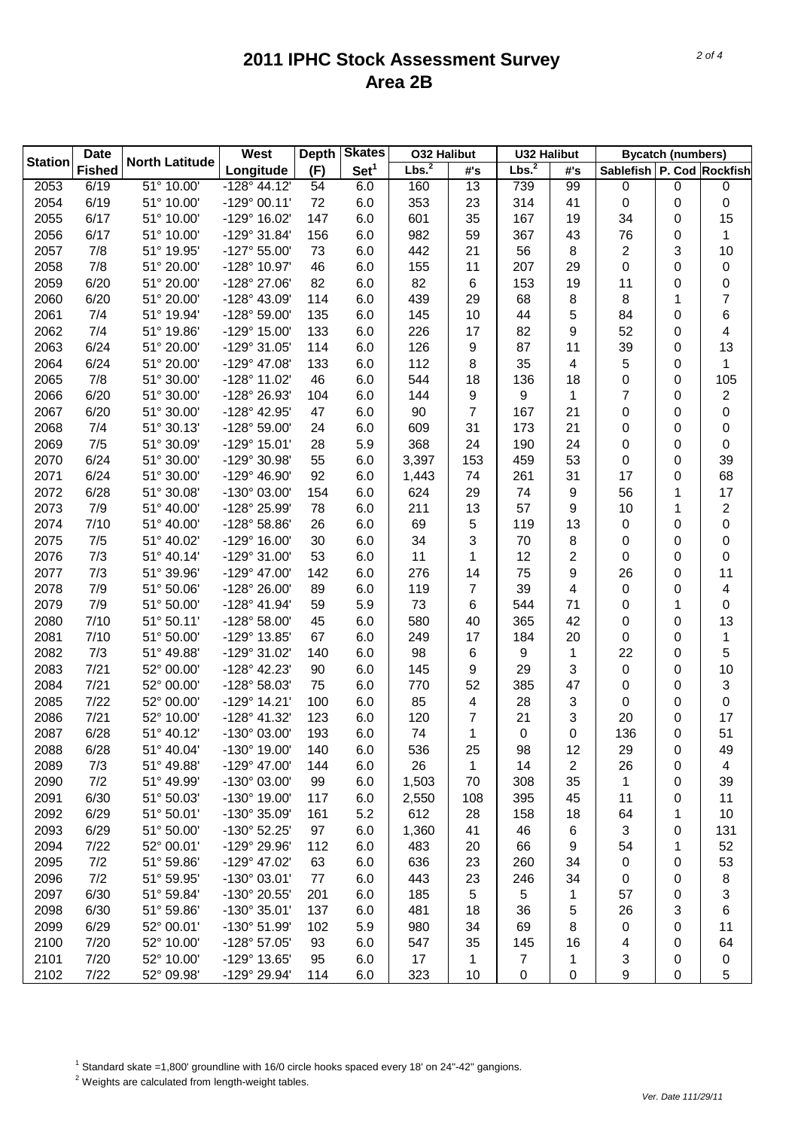| <b>Date</b><br><b>Station</b> |               | <b>North Latitude</b>    | West                  | <b>Depth</b> | <b>Skates</b>    | <b>032 Halibut</b> |                 | <b>U32 Halibut</b> |     | <b>Bycatch (numbers)</b>  |           |                  |
|-------------------------------|---------------|--------------------------|-----------------------|--------------|------------------|--------------------|-----------------|--------------------|-----|---------------------------|-----------|------------------|
|                               | <b>Fished</b> |                          | Longitude             | (F)          | Set <sup>1</sup> | Lbs. <sup>2</sup>  | #'s             | Lbs. <sup>2</sup>  | #'s | Sablefish P. Cod Rockfish |           |                  |
| 2053                          | 6/19          | $\overline{51}$ ° 10.00' | $-128^{\circ}$ 44.12' | 54           | 6.0              | 160                | $\overline{13}$ | 739                | 99  | 0                         | $\pmb{0}$ | 0                |
| 2054                          | 6/19          | 51° 10.00'               | $-129°00.11'$         | 72           | 6.0              | 353                | 23              | 314                | 41  | $\pmb{0}$                 | 0         | 0                |
| 2055                          | 6/17          | 51° 10.00'               | -129° 16.02'          | 147          | 6.0              | 601                | 35              | 167                | 19  | 34                        | 0         | 15               |
| 2056                          | 6/17          | 51° 10.00'               | -129° 31.84'          | 156          | 6.0              | 982                | 59              | 367                | 43  | 76                        | 0         | 1                |
| 2057                          | 7/8           | 51° 19.95'               | $-127^{\circ} 55.00'$ | 73           | 6.0              | 442                | 21              | 56                 | 8   | $\overline{2}$            | 3         | 10               |
| 2058                          | 7/8           | 51° 20.00'               | -128° 10.97'          | 46           | 6.0              | 155                | 11              | 207                | 29  | 0                         | 0         | $\boldsymbol{0}$ |
| 2059                          | 6/20          | 51° 20.00'               | -128° 27.06'          | 82           | 6.0              | 82                 | 6               | 153                | 19  | 11                        | 0         | 0                |
| 2060                          | 6/20          | 51° 20.00'               | -128° 43.09'          | 114          | 6.0              | 439                | 29              | 68                 | 8   | 8                         | 1         | 7                |
| 2061                          | 7/4           | 51° 19.94'               | -128° 59.00'          | 135          | 6.0              | 145                | 10              | 44                 | 5   | 84                        | 0         | 6                |
| 2062                          | 7/4           | 51° 19.86'               | -129° 15.00'          | 133          | 6.0              | 226                | 17              | 82                 | 9   | 52                        | 0         | 4                |
| 2063                          | 6/24          | 51° 20.00'               | -129° 31.05'          | 114          | 6.0              | 126                | 9               | 87                 | 11  | 39                        | 0         | 13               |
| 2064                          | 6/24          | 51° 20.00'               | -129° 47.08'          | 133          | 6.0              | 112                | 8               | 35                 | 4   | 5                         | 0         | 1                |
| 2065                          | 7/8           | 51° 30.00'               | -128° 11.02'          | 46           | 6.0              | 544                | 18              | 136                | 18  | 0                         | 0         | 105              |
| 2066                          | 6/20          | 51° 30.00'               | -128° 26.93'          | 104          | 6.0              | 144                | 9               | 9                  | 1   | $\overline{7}$            | 0         | $\overline{2}$   |
| 2067                          | 6/20          | 51° 30.00'               | -128° 42.95'          | 47           | 6.0              | 90                 | 7               | 167                | 21  | 0                         | 0         | 0                |
| 2068                          | 7/4           | 51° 30.13'               | -128° 59.00'          | 24           | 6.0              | 609                | 31              | 173                | 21  | 0                         | 0         | 0                |
| 2069                          | 7/5           | 51° 30.09'               | -129° 15.01'          | 28           | 5.9              | 368                | 24              | 190                | 24  | 0                         | 0         | 0                |
| 2070                          | 6/24          | 51° 30.00'               | -129° 30.98'          | 55           | 6.0              | 3,397              | 153             | 459                | 53  | 0                         | 0         | 39               |
| 2071                          | 6/24          | 51° 30.00'               | -129° 46.90'          | 92           | 6.0              | 1,443              | 74              | 261                | 31  | 17                        | 0         | 68               |
| 2072                          | 6/28          | 51° 30.08'               | -130° 03.00'          | 154          | 6.0              | 624                | 29              | 74                 | 9   | 56                        | 1         | 17               |
| 2073                          | 7/9           | 51° 40.00'               | -128° 25.99'          | 78           | 6.0              | 211                | 13              | 57                 | 9   | 10                        | 1         | $\overline{2}$   |
| 2074                          | 7/10          | 51° 40.00'               | $-128^{\circ} 58.86'$ | 26           | 6.0              | 69                 | 5               | 119                | 13  | $\pmb{0}$                 | 0         | 0                |
| 2075                          | 7/5           | 51° 40.02'               | -129° 16.00'          | 30           | 6.0              | 34                 | 3               | 70                 | 8   | 0                         | 0         | 0                |
| 2076                          | 7/3           | 51° 40.14'               | -129° 31.00'          | 53           | 6.0              | 11                 | 1               | 12                 | 2   | 0                         | 0         | 0                |
| 2077                          | 7/3           | 51° 39.96'               | -129° 47.00'          | 142          | 6.0              | 276                | 14              | 75                 | 9   | 26                        | 0         | 11               |
| 2078                          | 7/9           | 51° 50.06'               | -128° 26.00'          | 89           | 6.0              | 119                | 7               | 39                 | 4   | $\pmb{0}$                 | 0         | 4                |
| 2079                          | 7/9           | 51° 50.00'               | -128° 41.94'          | 59           | 5.9              | 73                 | 6               | 544                | 71  | 0                         | 1         | 0                |
| 2080                          | 7/10          | 51° 50.11'               | -128° 58.00'          | 45           | 6.0              | 580                | 40              | 365                | 42  | 0                         | 0         | 13               |
| 2081                          | 7/10          | 51° 50.00'               | -129° 13.85'          | 67           | 6.0              | 249                | 17              | 184                | 20  | 0                         | 0         | 1                |
| 2082                          | 7/3           | 51° 49.88'               | -129° 31.02'          | 140          | 6.0              | 98                 | 6               | 9                  | 1   | 22                        | 0         | 5                |
| 2083                          | 7/21          | 52° 00.00'               | -128° 42.23'          | 90           | 6.0              | 145                | 9               | 29                 | 3   | $\pmb{0}$                 | 0         | 10               |
| 2084                          | 7/21          | 52° 00.00'               | -128° 58.03'          | 75           | 6.0              | 770                | 52              | 385                | 47  | 0                         | 0         | 3                |
| 2085                          | 7/22          | 52° 00.00'               | $-129°$ 14.21'        | 100          | 6.0              | 85                 | 4               | 28                 | 3   | 0                         | 0         | 0                |
| 2086                          | 7/21          | 52° 10.00'               | $-128°$ 41.32'        | 123          | 6.0              | 120                | 7               | 21                 | 3   | 20                        | 0         | 17               |
| 2087                          | 6/28          | 51° 40.12'               | -130° 03.00'          | 193          | 6.0              | 74                 | 1               | 0                  | 0   | 136                       | 0         | 51               |
| 2088                          | 6/28          | 51° 40.04'               | -130° 19.00'          | 140          | 6.0              | 536                | 25              | 98                 | 12  | 29                        | 0         | 49               |
| 2089                          | 7/3           | 51° 49.88'               | $-129^{\circ}$ 47.00  | 144          | 6.0              | 26                 | 1               | 14                 | 2   | 26                        | 0         | 4                |
| 2090                          | 7/2           | 51° 49.99'               | -130° 03.00'          | 99           | 6.0              | 1,503              | 70              | 308                | 35  | 1                         | 0         | 39               |
| 2091                          | 6/30          | 51° 50.03'               | -130° 19.00'          | 117          | 6.0              | 2,550              | 108             | 395                | 45  | 11                        | 0         | 11               |
| 2092                          | 6/29          | 51° 50.01'               | -130° 35.09'          | 161          | 5.2              | 612                | 28              | 158                | 18  | 64                        | 1         | 10               |
| 2093                          | 6/29          | 51° 50.00'               | -130° 52.25'          | 97           | 6.0              | 1,360              | 41              | 46                 | 6   | 3                         | 0         | 131              |
| 2094                          | 7/22          | 52° 00.01'               | -129° 29.96'          | 112          | 6.0              | 483                | 20              | 66                 | 9   | 54                        | 1         | 52               |
| 2095                          | 7/2           | 51° 59.86'               | -129° 47.02'          | 63           | 6.0              | 636                | 23              | 260                | 34  | $\pmb{0}$                 | 0         | 53               |
| 2096                          | 7/2           | 51° 59.95'               | -130° 03.01'          | 77           | 6.0              | 443                | 23              | 246                | 34  | 0                         | 0         | 8                |
| 2097                          | 6/30          | 51° 59.84'               | -130° 20.55'          | 201          | 6.0              | 185                | 5               | 5                  | 1   | 57                        | 0         | 3                |
| 2098                          | 6/30          | 51° 59.86'               | -130° 35.01'          | 137          | 6.0              | 481                | 18              | 36                 | 5   | 26                        | 3         | 6                |
| 2099                          | 6/29          | 52° 00.01'               | -130° 51.99'          | 102          | 5.9              | 980                | 34              | 69                 | 8   | $\pmb{0}$                 | 0         | 11               |
| 2100                          | 7/20          | 52° 10.00'               | -128° 57.05'          | 93           | 6.0              | 547                | 35              | 145                | 16  | 4                         | 0         | 64               |
| 2101                          | 7/20          | 52° 10.00'               | -129° 13.65'          | 95           | 6.0              | 17                 | 1               | $\overline{7}$     | 1   | 3                         | 0         | 0                |
| 2102                          | 7/22          | 52° 09.98'               | -129° 29.94'          | 114          | 6.0              | 323                | 10              | 0                  | 0   | 9                         | 0         | 5                |

<sup>1</sup> Standard skate =1,800' groundline with 16/0 circle hooks spaced every 18' on 24"-42" gangions.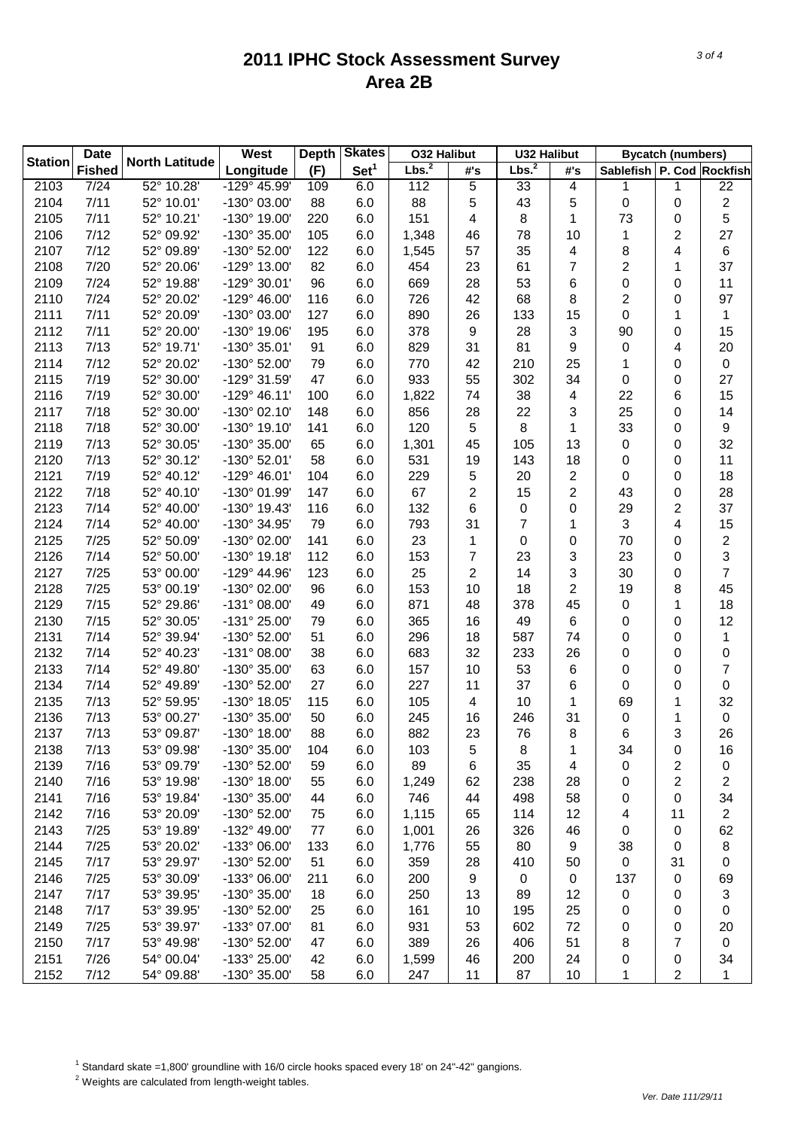| <b>Date</b>    |               |                       | <b>West</b>           | <b>Skates</b><br><b>Depth</b> |                  | <b>O32 Halibut</b> |     | <b>U32 Halibut</b> |     | <b>Bycatch (numbers)</b>  |    |                         |
|----------------|---------------|-----------------------|-----------------------|-------------------------------|------------------|--------------------|-----|--------------------|-----|---------------------------|----|-------------------------|
| <b>Station</b> | <b>Fished</b> | <b>North Latitude</b> | Longitude             | (F)                           | Set <sup>1</sup> | Lbs. <sup>2</sup>  | #'s | Lbs. <sup>2</sup>  | #'s | Sablefish P. Cod Rockfish |    |                         |
| 2103           | 7/24          | 52° 10.28'            | -129° 45.99'          | 109                           | 6.0              | 112                | 5   | 33                 | 4   | 1                         | 1  | 22                      |
| 2104           | 7/11          | 52° 10.01'            | -130° 03.00'          | 88                            | 6.0              | 88                 | 5   | 43                 | 5   | 0                         | 0  | $\overline{2}$          |
| 2105           | 7/11          | 52° 10.21'            | -130° 19.00'          | 220                           | 6.0              | 151                | 4   | 8                  | 1   | 73                        | 0  | 5                       |
| 2106           | 7/12          | 52° 09.92'            | -130° 35.00'          | 105                           | 6.0              | 1,348              | 46  | 78                 | 10  | 1                         | 2  | 27                      |
| 2107           | 7/12          | 52° 09.89'            | -130° 52.00'          | 122                           | 6.0              | 1,545              | 57  | 35                 | 4   | 8                         | 4  | 6                       |
| 2108           | 7/20          | 52° 20.06'            | -129° 13.00'          | 82                            | 6.0              | 454                | 23  | 61                 | 7   | 2                         | 1  | 37                      |
| 2109           | 7/24          | 52° 19.88'            | -129° 30.01'          | 96                            | 6.0              | 669                | 28  | 53                 | 6   | 0                         | 0  | 11                      |
| 2110           | 7/24          | 52° 20.02'            | $-129^{\circ}$ 46.00  | 116                           | 6.0              | 726                | 42  | 68                 | 8   | 2                         | 0  | 97                      |
| 2111           | 7/11          | 52° 20.09'            | -130° 03.00'          | 127                           | 6.0              | 890                | 26  | 133                | 15  | 0                         | 1  | 1                       |
| 2112           | 7/11          | 52° 20.00'            | -130° 19.06'          | 195                           | 6.0              | 378                | 9   | 28                 | 3   | 90                        | 0  | 15                      |
| 2113           | 7/13          | 52° 19.71'            | -130° 35.01'          | 91                            | 6.0              | 829                | 31  | 81                 | 9   | 0                         | 4  | 20                      |
| 2114           | 7/12          | 52° 20.02'            | -130° 52.00'          | 79                            | 6.0              | 770                | 42  | 210                | 25  | 1                         | 0  | $\mathsf 0$             |
| 2115           | 7/19          | 52° 30.00'            | -129° 31.59'          | 47                            | 6.0              | 933                | 55  | 302                | 34  | 0                         | 0  | 27                      |
| 2116           | 7/19          | 52° 30.00'            | $-129°$ 46.11'        | 100                           | 6.0              | 1,822              | 74  | 38                 | 4   | 22                        | 6  | 15                      |
| 2117           | 7/18          | 52° 30.00'            | $-130^{\circ}$ 02.10  | 148                           | 6.0              | 856                | 28  | 22                 | 3   | 25                        | 0  | 14                      |
| 2118           | 7/18          | 52° 30.00'            | -130° 19.10'          | 141                           | 6.0              | 120                | 5   | 8                  | 1   | 33                        | 0  | $\boldsymbol{9}$        |
| 2119           | 7/13          | 52° 30.05'            | -130° 35.00'          | 65                            | 6.0              | 1,301              | 45  | 105                | 13  | $\pmb{0}$                 | 0  | 32                      |
| 2120           | 7/13          | 52° 30.12'            | -130° 52.01'          | 58                            | 6.0              | 531                | 19  | 143                | 18  | 0                         | 0  | 11                      |
| 2121           | 7/19          | 52° 40.12'            | $-129°$ 46.01'        | 104                           | 6.0              | 229                | 5   | 20                 | 2   | 0                         | 0  | 18                      |
| 2122           | 7/18          | 52° 40.10'            | -130° 01.99'          | 147                           | 6.0              | 67                 | 2   | 15                 | 2   | 43                        | 0  | 28                      |
| 2123           | 7/14          | 52° 40.00'            | -130° 19.43'          | 116                           | 6.0              | 132                | 6   | 0                  | 0   | 29                        | 2  | 37                      |
| 2124           | 7/14          | 52° 40.00'            | -130° 34.95'          | 79                            | 6.0              | 793                | 31  | 7                  | 1   | 3                         | 4  | 15                      |
| 2125           | 7/25          | 52° 50.09'            | -130° 02.00'          | 141                           | 6.0              | 23                 | 1   | 0                  | 0   | 70                        | 0  | $\overline{\mathbf{c}}$ |
| 2126           | 7/14          | 52° 50.00'            | $-130^{\circ}$ 19.18' | 112                           | 6.0              | 153                | 7   | 23                 | 3   | 23                        | 0  | 3                       |
| 2127           | 7/25          | 53° 00.00'            | -129° 44.96'          | 123                           | 6.0              | 25                 | 2   | 14                 | 3   | 30                        | 0  | 7                       |
| 2128           | 7/25          | 53° 00.19'            | -130° 02.00'          | 96                            | 6.0              | 153                | 10  | 18                 | 2   | 19                        | 8  | 45                      |
| 2129           | 7/15          | 52° 29.86'            | $-131^{\circ}$ 08.00  | 49                            | 6.0              | 871                | 48  | 378                | 45  | 0                         | 1  | 18                      |
| 2130           | 7/15          | 52° 30.05'            | -131° 25.00'          | 79                            | 6.0              | 365                | 16  | 49                 | 6   | 0                         | 0  | 12                      |
| 2131           | 7/14          | 52° 39.94'            | -130° 52.00'          | 51                            | 6.0              | 296                | 18  | 587                | 74  | 0                         | 0  | 1                       |
| 2132           | 7/14          | 52° 40.23'            | $-131^{\circ}$ 08.00  | 38                            | 6.0              | 683                | 32  | 233                | 26  | 0                         | 0  | 0                       |
| 2133           | 7/14          | 52° 49.80'            | -130° 35.00'          | 63                            | 6.0              | 157                | 10  | 53                 | 6   | 0                         | 0  | 7                       |
| 2134           | 7/14          | 52° 49.89'            | -130° 52.00'          | 27                            | 6.0              | 227                | 11  | 37                 | 6   | 0                         | 0  | 0                       |
| 2135           | 7/13          | 52° 59.95'            | -130° 18.05'          | 115                           | 6.0              | 105                | 4   | 10                 | 1   | 69                        | 1  | 32                      |
| 2136           | 7/13          | 53° 00.27'            | -130° 35.00'          | 50                            | 6.0              | 245                | 16  | 246                | 31  | 0                         | 1  | $\boldsymbol{0}$        |
| 2137           | 7/13          | 53° 09.87'            | -130° 18.00'          | 88                            | 6.0              | 882                | 23  | 76                 | 8   | 6                         | 3  | 26                      |
| 2138           | 7/13          | 53° 09.98'            | -130° 35.00'          | 104                           | 6.0              | 103                | 5   | 8                  | 1   | 34                        | 0  | 16                      |
| 2139           | 7/16          | 53° 09.79'            | -130° 52.00'          | 59                            | 6.0              | 89                 | 6   | 35                 | 4   | 0                         | 2  | 0                       |
| 2140           | 7/16          | 53° 19.98'            | -130° 18.00'          | 55                            | 6.0              | 1,249              | 62  | 238                | 28  | 0                         | 2  | 2                       |
| 2141           | 7/16          | 53° 19.84'            | -130° 35.00'          | 44                            | 6.0              | 746                | 44  | 498                | 58  | 0                         | 0  | 34                      |
| 2142           | 7/16          | 53° 20.09'            | -130° 52.00'          | 75                            | 6.0              | 1,115              | 65  | 114                | 12  | 4                         | 11 | $\overline{c}$          |
| 2143           | 7/25          | 53° 19.89'            | -132° 49.00'          | 77                            | 6.0              | 1,001              | 26  | 326                | 46  | 0                         | 0  | 62                      |
| 2144           | 7/25          | 53° 20.02'            | -133° 06.00'          | 133                           | 6.0              | 1,776              | 55  | 80                 | 9   | 38                        | 0  | 8                       |
| 2145           | 7/17          | 53° 29.97'            | -130° 52.00'          | 51                            | 6.0              | 359                | 28  | 410                | 50  | $\pmb{0}$                 | 31 | 0                       |
| 2146           | 7/25          | 53° 30.09'            | -133° 06.00'          | 211                           | 6.0              | 200                | 9   | 0                  | 0   | 137                       | 0  | 69                      |
| 2147           | 7/17          | 53° 39.95'            | -130° 35.00'          | 18                            | 6.0              | 250                | 13  | 89                 | 12  | $\pmb{0}$                 | 0  | 3                       |
| 2148           | 7/17          | 53° 39.95'            | -130° 52.00'          | 25                            | 6.0              | 161                | 10  | 195                | 25  | 0                         | 0  | 0                       |
| 2149           | 7/25          | 53° 39.97'            | -133° 07.00'          | 81                            | 6.0              | 931                | 53  | 602                | 72  | 0                         | 0  | 20                      |
| 2150           | 7/17          | 53° 49.98'            | -130° 52.00'          | 47                            | 6.0              | 389                | 26  | 406                | 51  | 8                         | 7  | 0                       |
| 2151           | 7/26          | 54° 00.04'            | -133° 25.00'          | 42                            | 6.0              | 1,599              | 46  | 200                | 24  | 0                         | 0  | 34                      |
| 2152           | 7/12          | 54° 09.88'            | -130° 35.00'          | 58                            | 6.0              | 247                | 11  | 87                 | 10  | 1                         | 2  | 1                       |

<sup>1</sup> Standard skate =1,800' groundline with 16/0 circle hooks spaced every 18' on 24"-42" gangions.